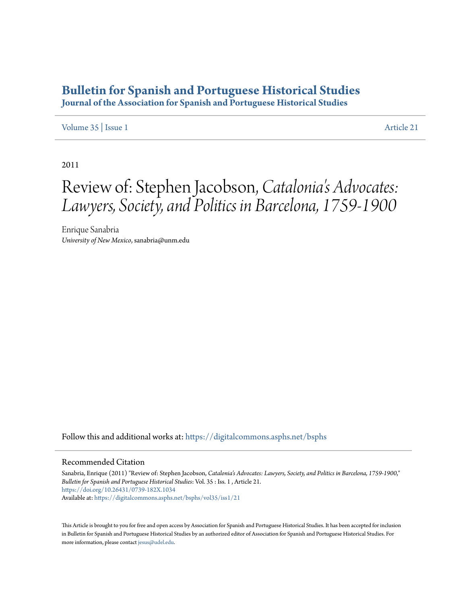## **[Bulletin for Spanish and Portuguese Historical Studies](https://digitalcommons.asphs.net/bsphs?utm_source=digitalcommons.asphs.net%2Fbsphs%2Fvol35%2Fiss1%2F21&utm_medium=PDF&utm_campaign=PDFCoverPages)**

**Journal of the Association for Spanish and Portuguese Historical Studies**

## [Volume 35](https://digitalcommons.asphs.net/bsphs/vol35?utm_source=digitalcommons.asphs.net%2Fbsphs%2Fvol35%2Fiss1%2F21&utm_medium=PDF&utm_campaign=PDFCoverPages) | [Issue 1](https://digitalcommons.asphs.net/bsphs/vol35/iss1?utm_source=digitalcommons.asphs.net%2Fbsphs%2Fvol35%2Fiss1%2F21&utm_medium=PDF&utm_campaign=PDFCoverPages) [Article 21](https://digitalcommons.asphs.net/bsphs/vol35/iss1/21?utm_source=digitalcommons.asphs.net%2Fbsphs%2Fvol35%2Fiss1%2F21&utm_medium=PDF&utm_campaign=PDFCoverPages)

2011

## Review of: Stephen Jacobson, *Catalonia's Advocates: Lawyers, Society, and Politics in Barcelona, 1759-1900*

Enrique Sanabria *University of New Mexico*, sanabria@unm.edu

Follow this and additional works at: [https://digitalcommons.asphs.net/bsphs](https://digitalcommons.asphs.net/bsphs?utm_source=digitalcommons.asphs.net%2Fbsphs%2Fvol35%2Fiss1%2F21&utm_medium=PDF&utm_campaign=PDFCoverPages)

## Recommended Citation

Sanabria, Enrique (2011) "Review of: Stephen Jacobson, *Catalonia's Advocates: Lawyers, Society, and Politics in Barcelona, 1759-1900*," *Bulletin for Spanish and Portuguese Historical Studies*: Vol. 35 : Iss. 1 , Article 21. <https://doi.org/10.26431/0739-182X.1034> Available at: [https://digitalcommons.asphs.net/bsphs/vol35/iss1/21](https://digitalcommons.asphs.net/bsphs/vol35/iss1/21?utm_source=digitalcommons.asphs.net%2Fbsphs%2Fvol35%2Fiss1%2F21&utm_medium=PDF&utm_campaign=PDFCoverPages)

This Article is brought to you for free and open access by Association for Spanish and Portuguese Historical Studies. It has been accepted for inclusion in Bulletin for Spanish and Portuguese Historical Studies by an authorized editor of Association for Spanish and Portuguese Historical Studies. For more information, please contact [jesus@udel.edu](mailto:jesus@udel.edu).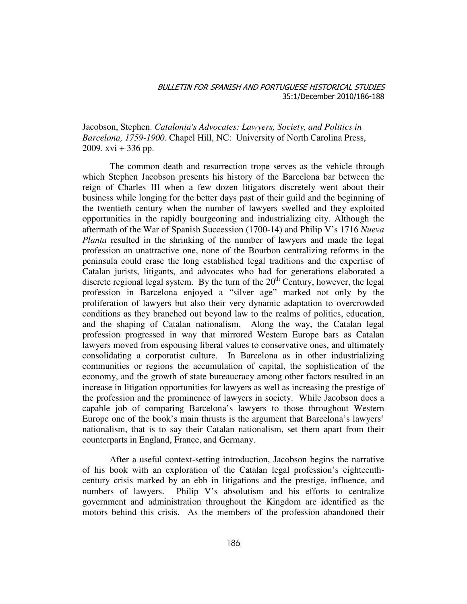Jacobson, Stephen. *Catalonia's Advocates: Lawyers, Society, and Politics in Barcelona, 1759-1900.* Chapel Hill, NC: University of North Carolina Press, 2009. xvi  $+336$  pp.

The common death and resurrection trope serves as the vehicle through which Stephen Jacobson presents his history of the Barcelona bar between the reign of Charles III when a few dozen litigators discretely went about their business while longing for the better days past of their guild and the beginning of the twentieth century when the number of lawyers swelled and they exploited opportunities in the rapidly bourgeoning and industrializing city. Although the aftermath of the War of Spanish Succession (1700-14) and Philip V's 1716 *Nueva Planta* resulted in the shrinking of the number of lawyers and made the legal profession an unattractive one, none of the Bourbon centralizing reforms in the peninsula could erase the long established legal traditions and the expertise of Catalan jurists, litigants, and advocates who had for generations elaborated a discrete regional legal system. By the turn of the  $20<sup>th</sup>$  Century, however, the legal profession in Barcelona enjoyed a "silver age" marked not only by the proliferation of lawyers but also their very dynamic adaptation to overcrowded conditions as they branched out beyond law to the realms of politics, education, and the shaping of Catalan nationalism. Along the way, the Catalan legal profession progressed in way that mirrored Western Europe bars as Catalan lawyers moved from espousing liberal values to conservative ones, and ultimately consolidating a corporatist culture. In Barcelona as in other industrializing communities or regions the accumulation of capital, the sophistication of the economy, and the growth of state bureaucracy among other factors resulted in an increase in litigation opportunities for lawyers as well as increasing the prestige of the profession and the prominence of lawyers in society. While Jacobson does a capable job of comparing Barcelona's lawyers to those throughout Western Europe one of the book's main thrusts is the argument that Barcelona's lawyers' nationalism, that is to say their Catalan nationalism, set them apart from their counterparts in England, France, and Germany.

After a useful context-setting introduction, Jacobson begins the narrative of his book with an exploration of the Catalan legal profession's eighteenthcentury crisis marked by an ebb in litigations and the prestige, influence, and numbers of lawyers. Philip V's absolutism and his efforts to centralize government and administration throughout the Kingdom are identified as the motors behind this crisis. As the members of the profession abandoned their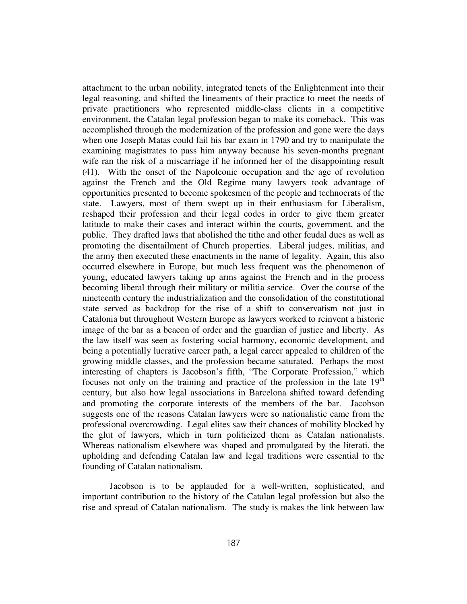attachment to the urban nobility, integrated tenets of the Enlightenment into their legal reasoning, and shifted the lineaments of their practice to meet the needs of private practitioners who represented middle-class clients in a competitive environment, the Catalan legal profession began to make its comeback. This was accomplished through the modernization of the profession and gone were the days when one Joseph Matas could fail his bar exam in 1790 and try to manipulate the examining magistrates to pass him anyway because his seven-months pregnant wife ran the risk of a miscarriage if he informed her of the disappointing result (41). With the onset of the Napoleonic occupation and the age of revolution against the French and the Old Regime many lawyers took advantage of opportunities presented to become spokesmen of the people and technocrats of the state. Lawyers, most of them swept up in their enthusiasm for Liberalism, reshaped their profession and their legal codes in order to give them greater latitude to make their cases and interact within the courts, government, and the public. They drafted laws that abolished the tithe and other feudal dues as well as promoting the disentailment of Church properties. Liberal judges, militias, and the army then executed these enactments in the name of legality. Again, this also occurred elsewhere in Europe, but much less frequent was the phenomenon of young, educated lawyers taking up arms against the French and in the process becoming liberal through their military or militia service. Over the course of the nineteenth century the industrialization and the consolidation of the constitutional state served as backdrop for the rise of a shift to conservatism not just in Catalonia but throughout Western Europe as lawyers worked to reinvent a historic image of the bar as a beacon of order and the guardian of justice and liberty. As the law itself was seen as fostering social harmony, economic development, and being a potentially lucrative career path, a legal career appealed to children of the growing middle classes, and the profession became saturated. Perhaps the most interesting of chapters is Jacobson's fifth, "The Corporate Profession," which focuses not only on the training and practice of the profession in the late  $19<sup>th</sup>$ century, but also how legal associations in Barcelona shifted toward defending and promoting the corporate interests of the members of the bar. Jacobson suggests one of the reasons Catalan lawyers were so nationalistic came from the professional overcrowding. Legal elites saw their chances of mobility blocked by the glut of lawyers, which in turn politicized them as Catalan nationalists. Whereas nationalism elsewhere was shaped and promulgated by the literati, the upholding and defending Catalan law and legal traditions were essential to the founding of Catalan nationalism.

Jacobson is to be applauded for a well-written, sophisticated, and important contribution to the history of the Catalan legal profession but also the rise and spread of Catalan nationalism. The study is makes the link between law